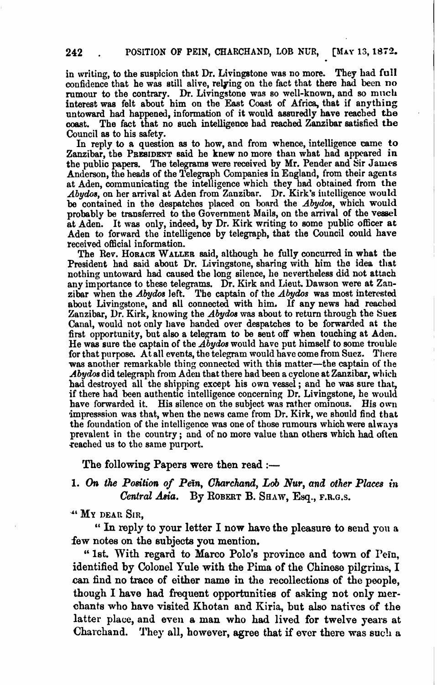in writing, to the suspicion that Dr. Livingstone was no more. They had full confidence that he was still alive, relying on the fact that there had been no rumour to the contrary. Dr. Livingstone was so well-known, and so much interest was felt about him on the East Coast of Africa, that if anything untoward had happened, information of it would assuredly have reached **the**  coast. The fact that no such intelligence had reached Zanzibar satisfied **the**  Council as to his safety.

In reply to a question as to how, and from whence, intelligence came **to**  Zanzibar, the PRESIDENT said he knew no more than what had appeared in the public papen. The telegrams were received by Mr. Pender and Sir **James**  Anderson, the heads of the Telegraph Companies in England, from their agents at Aden, communicating the intelligence which they had obtained from the Abydos, on her arrival at Aden from Zanzibar. Dr. Kirk's intelligence would be contained in the despatches placed on board the  $Abydos$ , which would probably be transferred to the Government Mails, on the arrival of the vessel at Aden. It **was** only, indeed, by Dr. Kirk writing to some public officer at Aden **to** forward the intelligence by telegraph, that the Council could have received official information.

The Rev. HORACE WALLER said, although he fully concurred in what the President had said about Dr. Livingstone, sharing with him the idea that nothing untoward had caused the long silence, he nevertheless did not attach any importance to these telegrams. Dr. Kirk and Lieut. Dawson were at Zanzibar when the Abydos left. The captain of the *Abydos* was most interested abut Livingstone, and all connected with him. **If** any news had roached Zanzibar, **Dr.** Kirk, knowing the *Abydos* was about to return through the Suez Canal, would not only have handed over despatches to be forwarded at the first opportunity, but also a telegram to be sent off when touching at Aden. He was sure the captain of the  $A\dot{b}y$  dos would have put himself to some trouble for that purpose. At all events, the telegram would have come from Suez. There was another remarkable thing connected with this matter-the captain of the Abydos did telegraph from Aden that there had been a cyclone at Zanzibar, which had destroyed all the shipping except his own vessel; and he was sure that, if there had been authentic intelligence concerning Dr. Livingstone, he would have forwarded it. His silence on the subject was rather ominous. His own impresssion was that, when the news came from Dr. Kirk, we should find that the foundation of the intelligence was one of those rumours which were always prevalent in the country ; nnd of no moro value than others which had often reached us to the same purport.

**The following Papers were then read :-**

#### 1. On the Position of Pein, Charchand, Lob Nur, and other Places in *Centrat* **ha. By ROBERT B.**Saaw, **Eq., F.R.Q.S.**

**JL MY DEAR SIR,** 

" In reply to your letter I now have the pleasure to send you a **few notes on the subjects you mention.** 

" **1st. With regard to Marco Polo's province and town of** I'ein, **identified by Colonel Yule with the Pima of the Chinose pilgrims, I can find no trace of either name in the recollections of the people,**  though I have had frequent opportunities of asking not only mer**chants who have visited Khotan and Riria, but also nativcs of the latter** place, **and even** a **man who had lived for twelve years at**  Charchand. They all, however, agree that if ever there was such a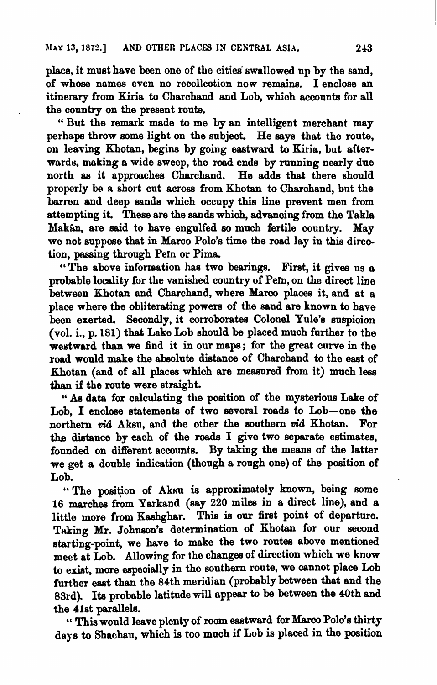place, it must have been one of tbe cities' swallowed up by the sand, of whose names even no recollection now remains. I enclose an itinerary from Kiria to Charchand and Lob, which accounts for all the country on the present route.

" But the remark made to me by an intelligent merchant may perhaps throw some light on the subject. He aays that the ronte, on leaving Khotan, begins by going esetward to Kiria, but afterwards. making a wide sweep, the **road** ends by running nearly due north as it approaches Charchand. He adds that there should properly be a short cut across from Khotan to Charchand, but the barren and deep sands which occupy this line prevent men from attempting it. These are the sands which, advancing from the Takla Makân, are said to have engulfed so much fertile country. May we not suppose that in Marc; Polo's time the road lay in **this** direction, passing through Pein or Pima.

"The above information has two **bearings. Firat,** it **gives** us a probable locality for the vanished country of Pern, on the direct line between Khotan and Charchand, where Marco places it, and at a place where the obliterating powera of the sand are known to have been exerted. Secondly, it corroborates Colonel Yule's suspicion (vol. i., p. 181) that Lake Lob should be placed much further to the westward than we find it in our maps; for the great ourve in the road would make the absolute distance of Charchand to the east of Khotan (and of all places which are measured from it) much less than if the route were straight.

*88* data for calculating the position of the mysterious Lake of Lob, I enclose statements of two several roads to Lob-one the northern *vid* Aksu, and the other the southern *vid* Khotan. For the distance by each of the roads I give two separate estimates, founded on different accounts. By taking the means of the latter we get a double indication (though a rough one) of the position of Lob.

"The position of Aksu is approximately known, being some 16 marches from Yarkand (say 220 miles in a direct line), and a little more from Kashghar. This **ie** our firat point of departure. Taking Mr. Johnson's determination of Khotan for our second starting-point, we have to make the two routes above mentioned meet at Lob. Allowing for the changee of direction which we know to exist, more especially in the southern route, we cannot place Lob further east than the 84th meridian (probably between that and the 83rd). Its probable latitude will appear to be between the 40th and the 41st parallels.

" This would leave plenty of room eastward for Marco Polo's thirty days to Shachau, which is too much if Lob is placed in the position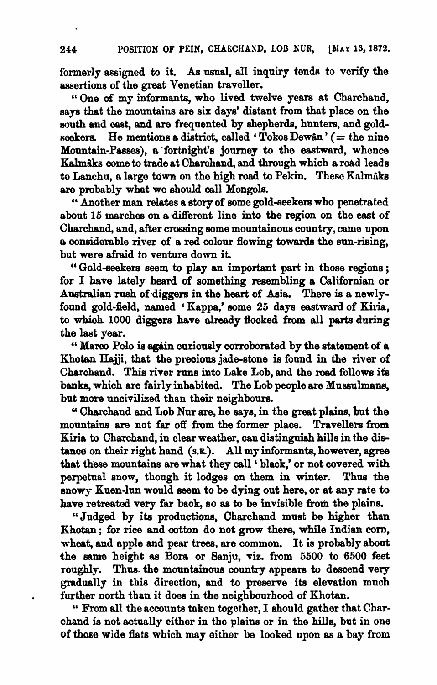formerly assigned to it. As usual, all inquiry tends to verify the assertione of the great Venetian traveller.

" One of my informants, who lived twelve years at Charchand, says that the mountains are six days' distant from that place on the south and east, and are frequented by shepherds, hunters, and goldseekers. He mentions a district, called 'Tokos Dewân' (= the nine Mountain-Passes), a fortnight's journey to the eastward, whence Kalmaks come to trade at Charchand, and through which a road leads to Lanchu, a large town on the high road to Pekin. These Kalmaks are probably what we should oall Mongols.

Another man **dates** a story of some gold-seekem who penetrated about 15 marches on a different line into the region on the east of Charchand, and, after crossing aome mountainous country, onme upon a considerable river of a red colour flowing towards the sun-rising, but were afraid to venture down it.

" Gold-seekers **seem** to play an important part in those regions ; for I have lately heard of something resembling a Californian or AWralian **rueh** of-diggera in the heart of Asia. **Thore** is a newlyfound gold-field, named 'Kappa,' some 25 days eastward of Kiria, to **whioh 1000** diggers have shady flocked from all **parts** during the last year.

" Marco Polo is again curiously corroborated by the statement of a Khotan Hajji, that the precious jade-stone is found in the river of Charchand. This river runs into Lake Lob, and the road follows its banks, which are fairly inhabited. The Lob people are Mussulmans, but more uncivilized than their neighbours.

Charchand and Lob Nur **are,** he says, in the **great** plaine, but the mountains are not far off from the former place. Travellers from Kiria to Charchand, in clear weather, can distinguish hills in the distanoe on their right hand (s.g.). All my informants, however, agree that these mountains are what they call 'black,' or not covered with perpetual snow, though it lodges on them in winter. Thua **the**  snowy Kuen-lun would seem to be dying out here, or at any rate to have retreated very far back, so as to be invisible from the plains.

"Judged by its productions, Charchand must be higher than Khotan; for rice and cotton do not grow there, while Indian corn, wheat, and apple and pear trees, are common. It is probably about the **same** bight as Bora or **Sanju,** viz. from 5500 to 6500 feet roughly. Thus the mountainous country appears to descend very gradually in this direotion, and to preserve its elevation much . further north than it does in the neighbourhood of Khotan.

" From all the accounts taken together, I should gather that Charchand is not actually either in the plains or in the hills, but in one of those wide flats which may either be looked upon as a bay from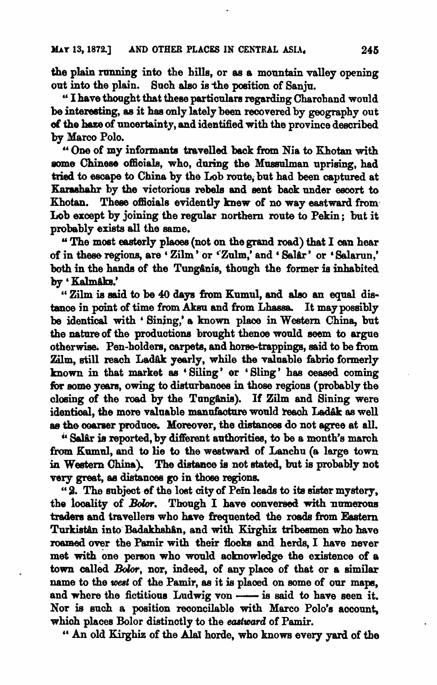the plain running into the hills, or as a mountain valley opening out into the plain. Such also is the position of Sanju.

"I have thought that these particulars regarding Charchand would be interesting, as it has only lately been recovered by geography out of the haze of uncertainty, and identified with the province described by Marco Polo.

"One of my informants travelled back from Nia to Khotan with some Chinese officials, who, during the Mussulman uprising, had tried to escape to China by the Lob route, but had been captured at Karashahr by the victorious rebels and sent back under escort to Khotan. These officials evidently knew of no way eastward from Lob except by joining the regular northern route to Pekin: but it probably exists all the same.

"The most easterly places (not on the grand road) that I can hear of in these regions, are 'Zilm' or 'Zulm,' and 'Salar' or 'Salarun,' both in the hands of the Tungânis, though the former is inhabited bv 'Kalmâks.'

"Zilm is said to be 40 days from Kumul, and also an equal distance in point of time from Aksu and from Lhassa. It may possibly be identical with 'Sining,' a known place in Western China, but the nature of the productions brought thence would seem to argue otherwise. Pen-holders, carpets, and horse-trappings, said to be from Zilm, still reach Ladâk yearly, while the valuable fabric formerly known in that market as 'Siling' or 'Sling' has ceased coming for some vears, owing to disturbances in those regions (probably the closing of the road by the Tungânis). If Zilm and Sining were identical, the more valuable manufacture would reach Ladak as well as the coarser produce. Moreover, the distances do not agree at all.

"Salar is reported, by different authorities, to be a month's march from Kumul, and to lie to the westward of Lanchu (a large town in Western China). The distance is not stated, but is probably not very great, as distances go in those regions.

"2. The subject of the lost city of Pein leads to its sister mystery, the locality of Bolor. Though I have conversed with numerous traders and travellers who have frequented the roads from Eastern Turkistån into Badakhshân, and with Kirghiz tribesmen who have roamed over the Pamir with their flocks and herds, I have never met with one person who would acknowledge the existence of a town called Bolor, nor, indeed, of any place of that or a similar name to the west of the Pamir, as it is placed on some of our maps, and where the fictitious Ludwig von - is said to have seen it. Nor is such a position reconcilable with Marco Polo's account, which places Bolor distinctly to the eastward of Pamir.

" An old Kirghiz of the Alai horde, who knows every yard of the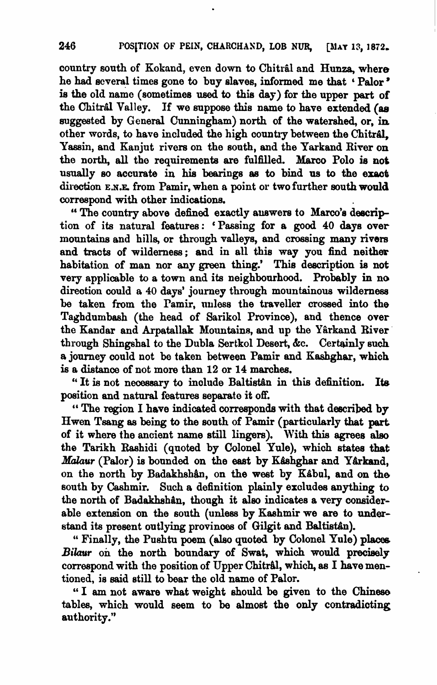country south of Kokand, even down to Chitral and Hunza, where he had several times gone to buy slaves, informed me that 'Palor' is the old name (sometimes used to this day) for the upper part of the Chitral Valley. If we suppose this name to have extended (as suggested by General Cunningham) north of the watershed, or, in other words, to have included the high country between the Chitral. Yassin, and Kanjut rivers on the south, and the Yarkand River on the north, all the requirements are fulfilled. Marco Polo is not usually so accurate in his bearings as to bind us to the exact direction **E.N.E.** from Pamir, when a point or two further south would oorrespond with other indicatiom.

"The country above defined exactly auswers to Marco's description of its natural features: 'Passing for a **good** 40 days over mountains and hills, or through valleys, and crossing many rivers and **tracts** of wilderness; and in all this way you find neither habitation of man nor any green thing! This description **ie** not very applicable to a **town** and its neighbowhood. Probably in no direction could a 40 days' journey through mountainous wilderness be taken from the Pamir, unless the traveller crossed into the Taghdumbash (the head of Sarikol Province), and thence over the Kandar and Arpatallak Mountains, and up the Yârkand River through Shingshal to the Dubla Sertkol Desert, &c. Certainly such a journey could not be taken between Pamir and Kashghar, which is a distance of not more than 12 or 14 marches.

" It is not necessary to include Baltistan in this definition. Its position and natural features separate it off.

" The region I have indicated corresponds with that **described** by Hwen Tsang as **being** to the south of Pamir (particularly that **part**  of it where the ancient name still lingers). With this agrees **aleo**  the Tarikh Raahidi (quoted by Colonel Yule), whioh states **that**  *Malaur* (Palor) is bounded on the east by Kashghar and Yarkand, on the north by Badakhshân, on the west by Kabul, and on the south by Cashmir. Such a definition plainly excludee **anything** to the north of Badakhshan, though it also indicates a very considerable extension on the south (unless by Kashmir we are to understand its present outlying provinces of Gilgit and Baltistân).

" Finally, the Pushtu poem (also quoted by Colonel Yule) places Bilaur on the north boundary of Swat, which would precisely correspond with the position of Upper Chitral, which, as I have mentioned, is said still to bear the old name of Palor.

" I am not aware what weight should be given to the Chinese tables, which would seem to be almost the only contradicting authority."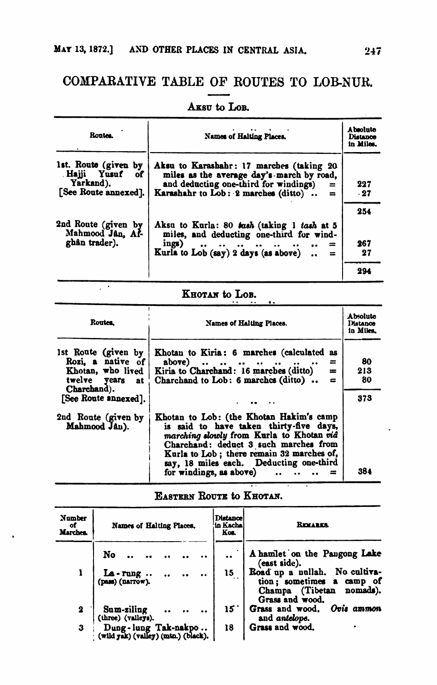# CONPARATIVE TABLE OF ROUTES TO LOBNUB. ES IN CENTRE<br>OF ROUT<br>The Lob.

| Routes.                                                                     | Names of Halting Places.                                                                                                                                                                                                                                   | A baoluta<br>Distance<br>in Miles. |
|-----------------------------------------------------------------------------|------------------------------------------------------------------------------------------------------------------------------------------------------------------------------------------------------------------------------------------------------------|------------------------------------|
| 1st. Route (given by<br>Hajji Yusuf of<br>Yarkand).<br>[See Route annexed]. | Aksu to Karashahr: 17 marches (taking 20<br>miles as the average day's march by road,<br>and deducting one-third for windings)<br>$=$<br>Karashahr to Lob: 2 marches (ditto)<br>$=$                                                                        | 227<br>.27                         |
| 2nd Route (given by<br>Mahmood Jan. Af-<br>ghân trader).                    | Aksu to Kurla: 80 tash (taking 1 tash at 5<br>miles, and deducting one-third for wind-<br>ings)<br>$=$<br>$\bullet \bullet \bullet \bullet \bullet \bullet \bullet \bullet \bullet \bullet \bullet \bullet$<br>Kurla to Lob (say) 2 days (as above)<br>$=$ | 254<br>267<br>27                   |
|                                                                             |                                                                                                                                                                                                                                                            | 294                                |

## AKSU to LOB.

# KHOTAN to LOB.

 $\overline{\phantom{a}}$ 

| <b>Routes</b> .                                                                                 | Names of Halting Places.                                                                                                                                                                                                                                                                   | Absolute<br><b>Distance</b><br>in Miles. |
|-------------------------------------------------------------------------------------------------|--------------------------------------------------------------------------------------------------------------------------------------------------------------------------------------------------------------------------------------------------------------------------------------------|------------------------------------------|
| 1st Route (given by<br>Rozi, a native of<br>Khotan, who lived<br>twelve years at<br>Charchand). | Khotan to Kiria: 6 marches (calculated as<br>above) $\ldots$ $\ldots$<br>$\equiv$<br>$\ddot{\phantom{a}}$<br>Kiria to Charchand: 16 marches (ditto)<br>$=$<br>Charchand to Lob: 6 marches (ditto)<br>$\equiv$                                                                              | 80<br>213<br>80                          |
| [See Route annexed].                                                                            |                                                                                                                                                                                                                                                                                            | 373                                      |
| 2nd Route (given by<br>Mahmood Jan).                                                            | Khotan to Lob: (the Khotan Hakim's camp<br>is said to have taken thirty-five days,<br>marching slowly from Kurla to Khotan vid<br>Charchand: deduct 3 such marches from<br>Kurla to Lob; there remain 32 marches of,<br>say, 18 miles each. Deducting one-third<br>for windings, as above) | 384                                      |
|                                                                                                 |                                                                                                                                                                                                                                                                                            |                                          |

EASTERN ROUTE to KHOTAN.

| Number<br>оf<br><b>Marches</b> | Names of Halting Places.                                     | <b>Distance</b><br>'in Kacha<br>Kos. | <b>REMARK</b>                                                                                                |
|--------------------------------|--------------------------------------------------------------|--------------------------------------|--------------------------------------------------------------------------------------------------------------|
|                                | No                                                           |                                      | A hamlet on the Pangong Lake<br>(east side).                                                                 |
|                                | La - rung<br>(pass) (narrow).                                | 15                                   | Road up a nullah. No cultiva-<br>tion; sometimes a camp of<br>Champa (Tibetan<br>nomads).<br>Grass and wood. |
| 2                              | Sum-ziling<br>(three) (valleys).                             | 15                                   | Grass and wood. Ovis ammon<br>and antelope.                                                                  |
| 3                              | Dung - lung Tak-nakpo<br>(wild yak) (valley) (mtn.) (black). | 18                                   | Grass and wood.                                                                                              |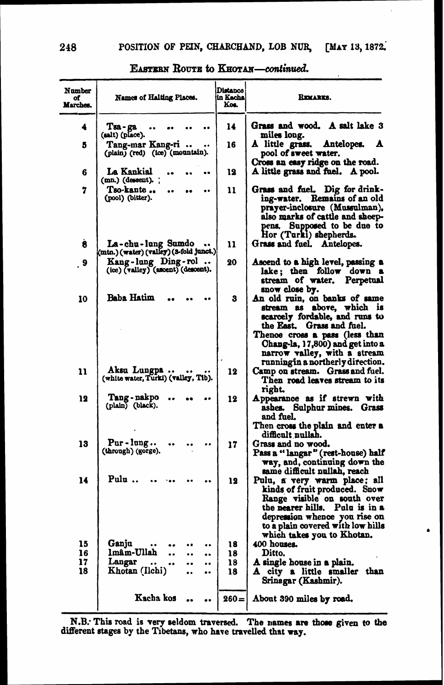| Number<br>of<br>Marches. | <b>Names of Halting Places.</b>                              | Distance<br>in Kacha<br>Kos. | Remarks.                                                                                                                                                                                                                                                                |
|--------------------------|--------------------------------------------------------------|------------------------------|-------------------------------------------------------------------------------------------------------------------------------------------------------------------------------------------------------------------------------------------------------------------------|
| 4                        | Тва - да<br>(salt) (place).                                  | 14                           | Grass and wood. A salt lake 3<br>miles long.                                                                                                                                                                                                                            |
| 5                        | Tang-mar Kang-ri<br>(plain) (red) (ice) (mountain).          | 16                           | A little grass.<br>Antelopes.<br>A<br>pool of sweet water.                                                                                                                                                                                                              |
| 6                        | La Kankial<br>(mn.) (descent). ;                             | 12                           | Cross an easy ridge on the road.<br>A little grass and fuel. A pool.                                                                                                                                                                                                    |
| 7                        | Tso-kante<br>(pool) (bitter).                                | 11                           | Grass and fuel.<br>Dig for drink-<br>Remains of an old<br>ing-water,<br>prayer-inclosure (Mussulman),<br>also marks of cattle and sheep-<br>pens. Supposed to be due to<br>Hor (Turki) shepherds.                                                                       |
| 8                        | La-chu-lung Sumdo<br>(mtn.) (water) (valley) (3-fold junct.) | 11                           | Grass and fuel. Antelopes.                                                                                                                                                                                                                                              |
| $\cdot$ 9                | Kang-lung Ding-rol<br>(ice) (valley) (ascent) (descent).     | 20                           | Ascend to a high level, passing a<br>lake; then follow down a<br>stream of water.<br>Perpetual<br>snow close by.                                                                                                                                                        |
| 10                       | Baba Hatim                                                   | 3                            | An old ruin, on banks of same<br>above, which is<br>stream as<br>scarcely fordable, and runs to<br>the East. Grass and fuel.<br>Thence cross a pass (less than<br>Chang-la, 17,800) and get into a<br>narrow valley, with a stream<br>running in a northerly direction. |
| 11                       | Aksu Lungpa<br>(white water, Turki) (valley, Tib).           | 12                           | Camp on stream. Grass and fuel.<br>Then road leaves stream to its<br>right.                                                                                                                                                                                             |
| 12                       | Tang - nakpo<br>(plain) (black).                             | 12                           | Appearance as if strewn with<br>ashes. Sulphur mines. Grass<br>and fuel.<br>Then cross the plain and enter a<br>difficult nullah.                                                                                                                                       |
| 13                       | Pur-lung<br>(through) (gorge).                               | 17                           | Grass and no wood.<br>Pass a "langar" (rest-house) half<br>$\pi$ ay, and, continuing down the<br>same difficult nullah, reach                                                                                                                                           |
| 14                       | Pulu                                                         | 12                           | Pulu, a very warm place; all<br>kinds of fruit produced. Snow<br>Range visible on south over<br>Pulu is in a<br>the nearer hills.<br>depression whence you rise on<br>to a plain covered with low hills<br>which takes you to Khotan.                                   |
| 15                       | Ganju<br>                                                    | 18                           | 400 houses.                                                                                                                                                                                                                                                             |
| 16                       | <b>Imâm-Ullah</b><br>$\bullet$                               | 18                           | Ditto.                                                                                                                                                                                                                                                                  |
| 17<br>18                 | Langar<br><br>Khotan (Ilchi)                                 | 18<br>18                     | A single house in a plain.<br>A city a little smaller than<br>Srinagar (Kashmir).                                                                                                                                                                                       |
|                          | Kacha kos                                                    | $260 =$                      | About 390 miles by road.                                                                                                                                                                                                                                                |

#### EASTERN ROUTE to KHOTAN-continued.

N.B. This road is very seldom traversed. The names are those given to the different stages by the Tibetans, who have travelled that way.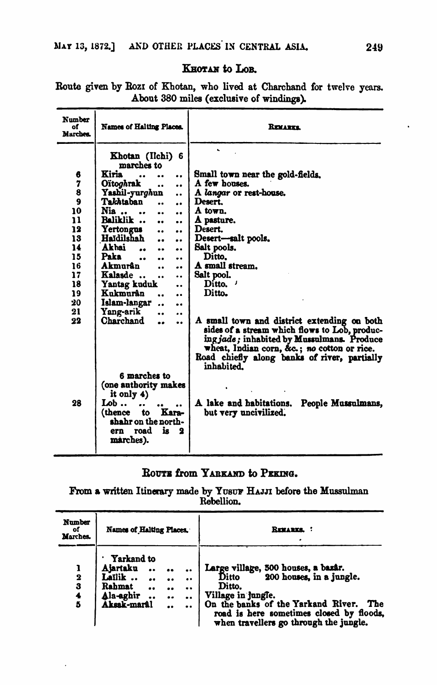#### KHOTAN to LOB.

| <b>Number</b><br>٥f<br>Marches.                                                                                               | Names of Halting Places.                                                                                                                                                                                                                                                                                                                                                                                                                                                                                                                                                                                               | <b>REMARKS</b>                                                                                                                                                                                                                                                                                                                                                                                                                                                                           |
|-------------------------------------------------------------------------------------------------------------------------------|------------------------------------------------------------------------------------------------------------------------------------------------------------------------------------------------------------------------------------------------------------------------------------------------------------------------------------------------------------------------------------------------------------------------------------------------------------------------------------------------------------------------------------------------------------------------------------------------------------------------|------------------------------------------------------------------------------------------------------------------------------------------------------------------------------------------------------------------------------------------------------------------------------------------------------------------------------------------------------------------------------------------------------------------------------------------------------------------------------------------|
| 6<br>$\begin{array}{c} 7 \\ 8 \\ 9 \end{array}$<br>10<br>11<br>12<br>13<br>14<br>15<br>16<br>17<br>18<br>19<br>20<br>21<br>22 | Khotan (Ilchi) 6<br>marches to<br>Kiria<br><br>$\ddot{\phantom{a}}$<br>Oïtoghrak<br><br>٠.<br>Yashil-yur <i>gh</i> un<br>$\ddot{\phantom{a}}$<br>Takhtaban<br>$\ddot{\phantom{a}}$<br>Nia<br><br><b>Raliklik</b><br><br><br>Yertongus<br><br>Haïdilshah<br><br>٠.<br>Akhai<br>٠.<br>٠.<br>Paka<br>$\ddot{\phantom{a}}$<br>$\ddot{\phantom{0}}$<br><br>Akmurân<br>٠.<br>۰.<br>Kalasde<br>٠.<br>$\ddot{\phantom{a}}$<br>Yantag kuduk<br>$\ddot{\phantom{a}}$<br>Kukmurân<br>$\bullet$<br>$\ddot{\phantom{a}}$<br>Islam-langar<br>$\ddot{\phantom{a}}$<br>$\bullet$<br>Yang-arik<br><br>Charchand<br>$\ddot{\phantom{a}}$ | Small town near the gold-fields.<br>A few houses.<br>A langar or rest-house.<br>Desert.<br>A town.<br>A pasture.<br>Desert.<br>Desert-salt pools.<br>Salt pools.<br>Ditto.<br>A small stream.<br>Salt pool.<br>Ditto.<br>Ditto.<br>A small town and district extending on both<br>sides of a stream which flows to Lob, produc-<br>ingjade; inhabited by Mussulmans. Produce<br>wheat, Indian corn, &c. no cotton or rice.<br>Road chiefly along banks of river, partially<br>inhabited. |
| 28                                                                                                                            | 6 marches to<br>(one authority makes<br>it only 4)<br>Lob $\overline{ }$<br><br>Kara-<br>(thence<br>to<br>shahr on the north-<br>ern road<br>is.<br>2<br>marches).                                                                                                                                                                                                                                                                                                                                                                                                                                                     | A lake and habitations.<br>People Mussulmans.<br>but very uncivilized.                                                                                                                                                                                                                                                                                                                                                                                                                   |

Route given by Rozz of Khotan, who lived at Charchand for twelve years. About 380 miles (exclusive of windings).

#### ROUTE from YARKAND to PEKING.

From a written Itinerary made by YUSUF HAJJI before the Mussulman Rebellion.

| Number<br>of<br>Marches.               | Names of Halting Places.                                                                                                    |                                 |                                                                      | REMARKS.                                                                                                                                                                                                                                 |
|----------------------------------------|-----------------------------------------------------------------------------------------------------------------------------|---------------------------------|----------------------------------------------------------------------|------------------------------------------------------------------------------------------------------------------------------------------------------------------------------------------------------------------------------------------|
| $\overline{\mathbf{2}}$<br>3<br>4<br>5 | <b>Yarkand</b> to<br>Aiartaku<br>Lailik<br><br>Rahmat<br>$\bullet \bullet$<br>Ala-aghir<br>Aksak-marâl<br>$\bullet \bullet$ | <br><br>$\bullet \bullet$<br>٠. | <br>$\bullet \bullet$<br>$\bullet$<br>$\bullet \bullet$<br>$\bullet$ | Large village, 500 houses, a bazâr.<br>Ditto<br>200 houses, in a jungle.<br>Ditto.<br>Village in jungle.<br>On the banks of the Yarkand River. The<br>road is here sometimes closed by floods,<br>when travellers go through the jungle. |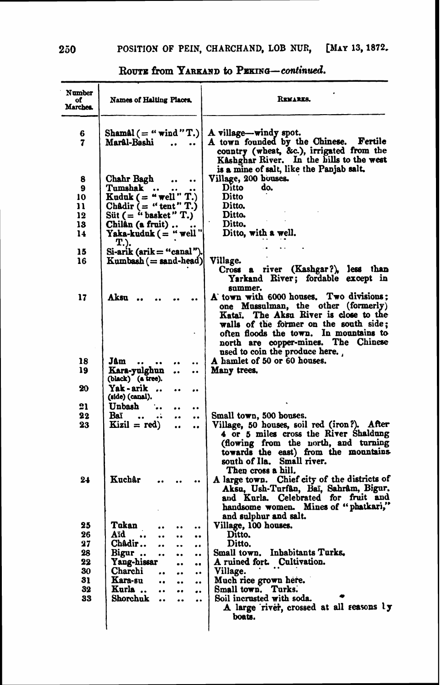| Shamal $($ = " $\text{wind}$ "T.)<br>A village-windy spot.<br>6<br>A town founded by the Chinese. Fertile<br>7<br>Marâl-Bashi<br>$\cdot$<br>country (wheat, &c.), irrigated from the<br>Kåshghar River. In the hills to the west<br>is a mine of salt, like the Panjab salt.<br>Village, 200 bouses.<br>8<br>Chahr Bagh<br>$\bullet$<br>$\bullet \bullet$<br>Tumshak<br>Ditto<br>do.<br>9<br>$\bullet$<br>Kuduk $($ = "well" T.)<br>Ditto<br>10<br>Châdir $=$ "tent" T.)<br>Ditto.<br>11<br>Süt $($ = " basket " T. $)$<br>Ditto.<br>12<br>13<br>Chilân (a fruit)<br>Ditto.<br>Yaka-kuduk ( = " well "<br>Ditto, with a well.<br>14<br>T.).<br>15<br>Si-arik (arik = "canal")<br>$Kumbash (= sand-head)$<br>Village.<br>16<br>Cross a river (Kashgar?), less than<br>Yarkand River; fordable except in<br>summer.<br>A town with 6000 houses. Two divisions:<br>17<br>Aksu<br>one Mussulman, the other (formerly)<br>Kataï. The Aksu River is close to the<br>walls of the former on the south side;<br>often floods the town. In mountains to<br>north are copper-mines. The Chinese<br>used to coin the produce here.<br>A hamlet of 50 or 60 houses.<br>18<br>Jâm<br><br><br>Kara-yulghun<br>Many trees.<br>19<br><br>$\bullet$<br>(black) (a tree).<br>20<br>Yak - arik<br><br><br><br>(side) (canal).<br>21<br>Unbash<br>$\bullet$<br>$\ddot{\phantom{0}}$<br>22<br>Baï<br>Small town, 500 houses.<br><br>$\cdots$<br><br>$\ddot{\phantom{0}}$<br>23<br>Kizil = $red$ )<br>$\ddot{\phantom{0}}$<br>$\ddot{\phantom{0}}$<br>south of Ila. Small river.<br>Then cross a hill.<br>Kuchâr<br>24<br>handsome women. Mines of "phatkari,"<br>and sulphur and salt.<br>25<br>Tukan<br>Village, 100 houses.<br><br>$\ddot{\phantom{0}}$<br>$\ddot{\phantom{0}}$<br>Ditto.<br>26<br>Aïd<br>$\ddot{\phantom{a}}$<br>٠.<br><br>$\bullet$<br>Châdir<br>Ditto.<br>27<br><br>$\ddot{\phantom{a}}$<br><br>Small town. Inbabitants Turks.<br>28<br>Bigur<br>$\bullet \bullet$<br><br><br>22<br>Yang-hissar<br>A ruined fort. Cultivation.<br><br>$\bullet \bullet$<br>30<br>Charchi<br>Village.<br>$\ddot{\phantom{0}}$<br><br><br>31<br>Kara-su<br>Much rice grown here.<br><br>$\ddot{\phantom{a}}$<br><br>32<br>Kurla<br>Small town. Turks.<br>$\ddot{\phantom{0}}$<br>$\bullet \bullet$<br><br>Soil incrusted with soda.<br>33<br>Shorchuk<br>$\bullet\bullet$<br>$\ddot{\phantom{0}}$<br><br>boats. | Number<br>of<br>Marches. | Names of Halting Places. | REMARKS. |
|-----------------------------------------------------------------------------------------------------------------------------------------------------------------------------------------------------------------------------------------------------------------------------------------------------------------------------------------------------------------------------------------------------------------------------------------------------------------------------------------------------------------------------------------------------------------------------------------------------------------------------------------------------------------------------------------------------------------------------------------------------------------------------------------------------------------------------------------------------------------------------------------------------------------------------------------------------------------------------------------------------------------------------------------------------------------------------------------------------------------------------------------------------------------------------------------------------------------------------------------------------------------------------------------------------------------------------------------------------------------------------------------------------------------------------------------------------------------------------------------------------------------------------------------------------------------------------------------------------------------------------------------------------------------------------------------------------------------------------------------------------------------------------------------------------------------------------------------------------------------------------------------------------------------------------------------------------------------------------------------------------------------------------------------------------------------------------------------------------------------------------------------------------------------------------------------------------------------------------------------------------------------------------------------------------------------------------------------------------------------------------------------------|--------------------------|--------------------------|----------|
|                                                                                                                                                                                                                                                                                                                                                                                                                                                                                                                                                                                                                                                                                                                                                                                                                                                                                                                                                                                                                                                                                                                                                                                                                                                                                                                                                                                                                                                                                                                                                                                                                                                                                                                                                                                                                                                                                                                                                                                                                                                                                                                                                                                                                                                                                                                                                                                               |                          |                          |          |
|                                                                                                                                                                                                                                                                                                                                                                                                                                                                                                                                                                                                                                                                                                                                                                                                                                                                                                                                                                                                                                                                                                                                                                                                                                                                                                                                                                                                                                                                                                                                                                                                                                                                                                                                                                                                                                                                                                                                                                                                                                                                                                                                                                                                                                                                                                                                                                                               |                          |                          |          |
|                                                                                                                                                                                                                                                                                                                                                                                                                                                                                                                                                                                                                                                                                                                                                                                                                                                                                                                                                                                                                                                                                                                                                                                                                                                                                                                                                                                                                                                                                                                                                                                                                                                                                                                                                                                                                                                                                                                                                                                                                                                                                                                                                                                                                                                                                                                                                                                               |                          |                          |          |
|                                                                                                                                                                                                                                                                                                                                                                                                                                                                                                                                                                                                                                                                                                                                                                                                                                                                                                                                                                                                                                                                                                                                                                                                                                                                                                                                                                                                                                                                                                                                                                                                                                                                                                                                                                                                                                                                                                                                                                                                                                                                                                                                                                                                                                                                                                                                                                                               |                          |                          |          |
| Village, 50 houses, soil red (iron?). After<br>4 or 5 miles cross the River Shaldung<br>(flowing from the north, and turning towards the east) from the mountains<br>A large town. Chief city of the districts of<br>Aksu, Ush-Turfân, Baï, Sahrâm, Bigur.<br>and Kurla. Celebrated for fruit and<br>A large river, crossed at all reasons by                                                                                                                                                                                                                                                                                                                                                                                                                                                                                                                                                                                                                                                                                                                                                                                                                                                                                                                                                                                                                                                                                                                                                                                                                                                                                                                                                                                                                                                                                                                                                                                                                                                                                                                                                                                                                                                                                                                                                                                                                                                 |                          |                          |          |
|                                                                                                                                                                                                                                                                                                                                                                                                                                                                                                                                                                                                                                                                                                                                                                                                                                                                                                                                                                                                                                                                                                                                                                                                                                                                                                                                                                                                                                                                                                                                                                                                                                                                                                                                                                                                                                                                                                                                                                                                                                                                                                                                                                                                                                                                                                                                                                                               |                          |                          |          |
|                                                                                                                                                                                                                                                                                                                                                                                                                                                                                                                                                                                                                                                                                                                                                                                                                                                                                                                                                                                                                                                                                                                                                                                                                                                                                                                                                                                                                                                                                                                                                                                                                                                                                                                                                                                                                                                                                                                                                                                                                                                                                                                                                                                                                                                                                                                                                                                               |                          |                          |          |
|                                                                                                                                                                                                                                                                                                                                                                                                                                                                                                                                                                                                                                                                                                                                                                                                                                                                                                                                                                                                                                                                                                                                                                                                                                                                                                                                                                                                                                                                                                                                                                                                                                                                                                                                                                                                                                                                                                                                                                                                                                                                                                                                                                                                                                                                                                                                                                                               |                          |                          |          |
|                                                                                                                                                                                                                                                                                                                                                                                                                                                                                                                                                                                                                                                                                                                                                                                                                                                                                                                                                                                                                                                                                                                                                                                                                                                                                                                                                                                                                                                                                                                                                                                                                                                                                                                                                                                                                                                                                                                                                                                                                                                                                                                                                                                                                                                                                                                                                                                               |                          |                          |          |
|                                                                                                                                                                                                                                                                                                                                                                                                                                                                                                                                                                                                                                                                                                                                                                                                                                                                                                                                                                                                                                                                                                                                                                                                                                                                                                                                                                                                                                                                                                                                                                                                                                                                                                                                                                                                                                                                                                                                                                                                                                                                                                                                                                                                                                                                                                                                                                                               |                          |                          |          |
|                                                                                                                                                                                                                                                                                                                                                                                                                                                                                                                                                                                                                                                                                                                                                                                                                                                                                                                                                                                                                                                                                                                                                                                                                                                                                                                                                                                                                                                                                                                                                                                                                                                                                                                                                                                                                                                                                                                                                                                                                                                                                                                                                                                                                                                                                                                                                                                               |                          |                          |          |
|                                                                                                                                                                                                                                                                                                                                                                                                                                                                                                                                                                                                                                                                                                                                                                                                                                                                                                                                                                                                                                                                                                                                                                                                                                                                                                                                                                                                                                                                                                                                                                                                                                                                                                                                                                                                                                                                                                                                                                                                                                                                                                                                                                                                                                                                                                                                                                                               |                          |                          |          |
|                                                                                                                                                                                                                                                                                                                                                                                                                                                                                                                                                                                                                                                                                                                                                                                                                                                                                                                                                                                                                                                                                                                                                                                                                                                                                                                                                                                                                                                                                                                                                                                                                                                                                                                                                                                                                                                                                                                                                                                                                                                                                                                                                                                                                                                                                                                                                                                               |                          |                          |          |
|                                                                                                                                                                                                                                                                                                                                                                                                                                                                                                                                                                                                                                                                                                                                                                                                                                                                                                                                                                                                                                                                                                                                                                                                                                                                                                                                                                                                                                                                                                                                                                                                                                                                                                                                                                                                                                                                                                                                                                                                                                                                                                                                                                                                                                                                                                                                                                                               |                          |                          |          |
|                                                                                                                                                                                                                                                                                                                                                                                                                                                                                                                                                                                                                                                                                                                                                                                                                                                                                                                                                                                                                                                                                                                                                                                                                                                                                                                                                                                                                                                                                                                                                                                                                                                                                                                                                                                                                                                                                                                                                                                                                                                                                                                                                                                                                                                                                                                                                                                               |                          |                          |          |
|                                                                                                                                                                                                                                                                                                                                                                                                                                                                                                                                                                                                                                                                                                                                                                                                                                                                                                                                                                                                                                                                                                                                                                                                                                                                                                                                                                                                                                                                                                                                                                                                                                                                                                                                                                                                                                                                                                                                                                                                                                                                                                                                                                                                                                                                                                                                                                                               |                          |                          |          |
|                                                                                                                                                                                                                                                                                                                                                                                                                                                                                                                                                                                                                                                                                                                                                                                                                                                                                                                                                                                                                                                                                                                                                                                                                                                                                                                                                                                                                                                                                                                                                                                                                                                                                                                                                                                                                                                                                                                                                                                                                                                                                                                                                                                                                                                                                                                                                                                               |                          |                          |          |
|                                                                                                                                                                                                                                                                                                                                                                                                                                                                                                                                                                                                                                                                                                                                                                                                                                                                                                                                                                                                                                                                                                                                                                                                                                                                                                                                                                                                                                                                                                                                                                                                                                                                                                                                                                                                                                                                                                                                                                                                                                                                                                                                                                                                                                                                                                                                                                                               |                          |                          |          |

ROUTE from YARKAND to PERING-continued.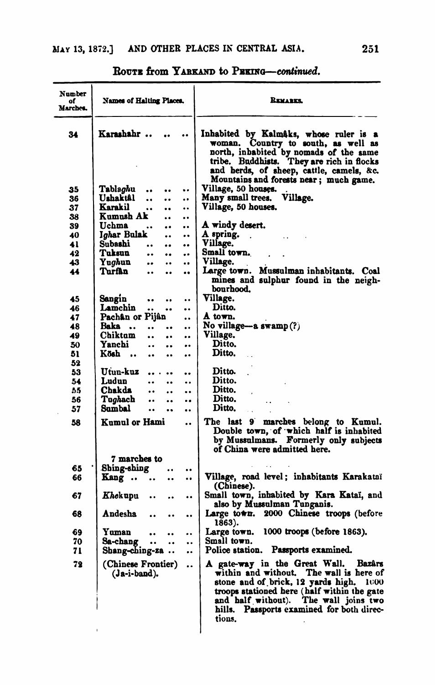| Karashahr<br>Inhabited by Kalmaks, whose ruler is a<br>34<br>woman. Country to south, as well as<br>north, inhabited by nomads of the same<br>tribe. Buddhists. They are rich in flocks<br>and herds, of sheep, cattle, camels, &c.<br>Mountains and forests near; much game.<br>Village, 50 houses.<br>Tablaghu<br>35<br>$\bullet$<br>$\ddot{\phantom{0}}$<br>$\bullet$<br>Village.<br>Ushaktâl<br>Many small trees.<br>36<br><br><br> |        |
|-----------------------------------------------------------------------------------------------------------------------------------------------------------------------------------------------------------------------------------------------------------------------------------------------------------------------------------------------------------------------------------------------------------------------------------------|--------|
|                                                                                                                                                                                                                                                                                                                                                                                                                                         |        |
|                                                                                                                                                                                                                                                                                                                                                                                                                                         |        |
|                                                                                                                                                                                                                                                                                                                                                                                                                                         |        |
| Karakil<br>Village, 50 houses.<br>37<br><br><br>                                                                                                                                                                                                                                                                                                                                                                                        |        |
| Kumush Ak<br>38<br>$\ddot{\phantom{0}}$<br>$\cdot$                                                                                                                                                                                                                                                                                                                                                                                      |        |
| Uchma<br>A windy desert.<br>39<br>$\ddot{\phantom{0}}\phantom{0}\bullet$<br><br>$\bullet$                                                                                                                                                                                                                                                                                                                                               |        |
| A spring.<br>I <i>gh</i> ar Bulak<br>40<br>$\ddot{\phantom{0}}$<br>۰.                                                                                                                                                                                                                                                                                                                                                                   |        |
| Village.<br>Subashi<br>41<br><br><br>                                                                                                                                                                                                                                                                                                                                                                                                   |        |
| Small town.<br>Tuksun<br>42<br><br>۰.<br>                                                                                                                                                                                                                                                                                                                                                                                               |        |
| Village.<br>43<br>Yughun<br><br>$\ddot{\phantom{0}}$<br>$\ddot{\phantom{0}}$                                                                                                                                                                                                                                                                                                                                                            |        |
| Mussulman inhabitants. Coal<br>Large town.<br>Turfân<br>44<br><br><br><br>mines and sulphur found in the neigh-<br>bourhood.                                                                                                                                                                                                                                                                                                            |        |
| Village.<br>45<br>Sangin<br><br>$\ddot{\phantom{0}}$<br>$\ddot{\phantom{0}}$                                                                                                                                                                                                                                                                                                                                                            |        |
| Lamchin<br>Ditto.<br>46<br><br><br>$\ddot{\phantom{0}}$                                                                                                                                                                                                                                                                                                                                                                                 |        |
| Pachân or Pijân<br>A town.<br>47<br>                                                                                                                                                                                                                                                                                                                                                                                                    |        |
| No village—a swamp(?)<br>Baka<br>48<br><br><br>$\bullet$                                                                                                                                                                                                                                                                                                                                                                                |        |
| Village.<br>Chiktum<br>49<br>$\ddot{\phantom{0}}$<br><br>                                                                                                                                                                                                                                                                                                                                                                               |        |
| Yanchi<br>Ditto.<br>50<br>$\ddot{\phantom{0}}\phantom{0}$<br><br>                                                                                                                                                                                                                                                                                                                                                                       |        |
| Ditto.<br>Kösh<br>51<br>$\ddot{\phantom{0}}$<br><br>$\ddot{\phantom{0}}$                                                                                                                                                                                                                                                                                                                                                                |        |
| 52                                                                                                                                                                                                                                                                                                                                                                                                                                      |        |
| Ditto.<br>Utun-kuz<br>53<br><br>$\ddot{\phantom{0}}$<br>$\bullet$                                                                                                                                                                                                                                                                                                                                                                       |        |
| Ditto.<br>Ludun<br>54<br><br>$\ddot{\phantom{0}}$<br>$\ddot{\phantom{0}}$                                                                                                                                                                                                                                                                                                                                                               |        |
| Ditto.<br>55<br>Chakda<br>$\ddot{\phantom{a}}$<br><br>$\ddot{\phantom{a}}$                                                                                                                                                                                                                                                                                                                                                              |        |
| Ditto.<br>Tughach<br>56<br><br><br>                                                                                                                                                                                                                                                                                                                                                                                                     |        |
| Ditto.<br>57<br>Sumbal<br><br><br>$\bullet$                                                                                                                                                                                                                                                                                                                                                                                             |        |
| Kumul or Hami<br>The last 9 marches belong to Kumul.<br>58<br><br>Double town, of which half is inhabited<br>by Mussulmans. Formerly only subjects<br>of China were admitted here.                                                                                                                                                                                                                                                      |        |
| 7 marches to                                                                                                                                                                                                                                                                                                                                                                                                                            |        |
| Shing-shing<br>65<br><br>$\bullet$                                                                                                                                                                                                                                                                                                                                                                                                      |        |
| Village, road level; inhabitants Karakataï<br>66<br>Kang<br>$\ddot{\phantom{0}}$<br><br>(Chinese).                                                                                                                                                                                                                                                                                                                                      |        |
| Small town, inhabited by Kara Kataï, and<br>67<br>Khekupu<br><br>also by Mussulman Tunganis.                                                                                                                                                                                                                                                                                                                                            |        |
| Large town. 2000 Chinese troops (before<br>68<br>Andesha<br><br>1863).                                                                                                                                                                                                                                                                                                                                                                  |        |
| 1000 troops (before 1863).<br>69<br>Yuman<br>Large town.<br>                                                                                                                                                                                                                                                                                                                                                                            |        |
| Small town.<br>70<br>Sa-chang<br>$\ddot{\phantom{0}}$<br><br>                                                                                                                                                                                                                                                                                                                                                                           |        |
| Police station. Passports examined.<br>71<br>$Shang-ching-za$<br>                                                                                                                                                                                                                                                                                                                                                                       |        |
| 72<br>A gate-way in the Great Wall.<br>(Chinese Frontier)<br><br>within and without. The wall is here of<br>(Ja-i-band).<br>stone and of brick, 12 yards high. 1000<br>troops stationed here (half within the gate<br>and half without). The wall joins two<br>hills. Passports examined for both direc-<br>tions.                                                                                                                      | Bazârs |

**ROUTE from YARKAND to PERING-continued.**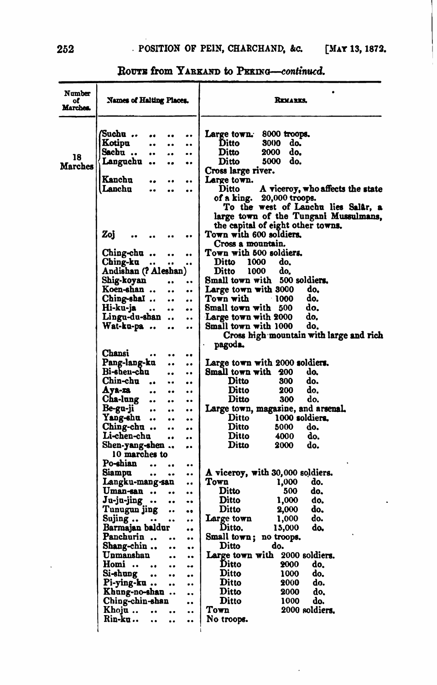| Number<br>of<br>Marches. | Names of Halting Places.                                                                                                                                  | REMARKS.                                                                                                                                                  |
|--------------------------|-----------------------------------------------------------------------------------------------------------------------------------------------------------|-----------------------------------------------------------------------------------------------------------------------------------------------------------|
| 18<br>Marches            | Suchu<br><br>Kotipu<br><br><br>$\ddot{\phantom{0}}$<br>Sachu<br><br><br><br>Languchu<br>$\bullet \bullet$<br><br>$\bullet$<br>Kanchu<br>                  | Large town. 8000 troops.<br>Ditto<br>3000<br>do.<br>Ditto<br>2000<br>do.<br>do.<br>Ditto<br>5000<br>Cross large river.<br>Large town.                     |
|                          | <br><br>Lanchu<br><br><br>                                                                                                                                | A viceroy, who affects the state<br>Ditto<br>of a king.<br>20,000 troops.<br>To the west of Lanchu lies Salar, a<br>large town of the Tungani Mussulmans, |
|                          | Zoj<br>$\bullet$<br>Ching-chu<br><br>٠.                                                                                                                   | the capital of eight other towns.<br>Town with $600$ soldiers,<br>Cross a mountain.<br>Town with 500 soldiers.                                            |
|                          | Ching-ku<br>$\bullet\bullet$<br><br><br>Andishan (? Aleshan)<br>Shig-koyan<br><br>$\ddot{\phantom{0}}$                                                    | Ditto<br>1000<br>do.<br>do.<br>Ditto<br>1000<br>Small town with 500 soldiers.                                                                             |
|                          | Koen-shan<br><br><br>Ching-shal<br>$\bullet$<br><br>Hi-ku-ja<br>$\ddot{\phantom{0}}\phantom{0}\bullet$<br><br>                                            | Large town with $3000$<br>do,<br>do.<br>Town with<br>$-1000$<br>Small town with 500<br>do.                                                                |
|                          | Lingu-du-shan<br>$\bullet\bullet$<br>٠.<br>Wat-ku-pa<br><br>                                                                                              | do.<br>Large town with 2000<br>do,<br>Small town with 1000<br>Cross high mountain with large and rich                                                     |
|                          | Chansi<br><br>$\ddot{\phantom{0}}$<br><br>Pang-lang-ku<br><br>                                                                                            | pagoda.<br>Large town with 2000 soldiers.                                                                                                                 |
|                          | Bi-shen-chu<br>$\ddot{\phantom{0}}\phantom{0}\bullet$<br><br>Chin-chu<br><br><br><br>Aya-za<br><br><br>                                                   | Small town with 200<br>do.<br>Ditto<br>300<br>do.<br>200<br>do.<br>Ditto                                                                                  |
|                          | Cha-lung<br><br><br>$\ddot{\phantom{0}}$<br>Be-gu-ji<br>$\bullet$<br><br>$\bullet$<br>Yang-shu<br>$\ddot{\phantom{0}}\phantom{0}\bullet$<br>$\bullet$<br> | Ditto<br>300<br>do.<br>Large town, magazine, and arsenal.<br>Ditto<br>1000 soldiers.<br>Ditto<br>5000<br>do.                                              |
|                          | Ching-chu<br><br><br>Li-chen-chu<br><br><br>Shen-yang-shen<br><br>10 marches to                                                                           | Ditto<br>do.<br>4000<br>Ditto<br>2000<br>do.                                                                                                              |
|                          | Po-shian<br>$\sim$<br><br>Siampu<br>$\ddot{\phantom{0}}$<br>٠.<br><br>Langku-mang-san<br>$\bullet$                                                        | A viceroy, with 30,000 soldiers.<br>Town<br>do.<br>1,000                                                                                                  |
|                          | Uman-san<br><br><br>Ju-ju-jing<br>$\bullet\bullet$<br><br><br>Tunugun jing<br><br><br>Sujing<br>$\cdot \cdot$<br>٠.<br>                                   | Ditto<br>do.<br>500<br>Ditto<br>1,000<br>do.<br>Ditto<br>do.<br>2,000<br>Large town<br>do.<br>1.000                                                       |
|                          | Barmajan baldur<br><br>Panchurin<br><br><br>Shang-chin<br><br>٠.                                                                                          | Ditto.<br>do,<br>15,000<br>Small town; no troops.<br>Ditto<br>do.                                                                                         |
|                          | Unmanshan<br>$\ddot{\phantom{0}}\phantom{0}\bullet$<br><br>Homi<br>۰.<br>$\ddot{\phantom{0}}$<br><br>Si-shung<br><br>$\bullet$<br>                        | Large town with 2000 soldiers.<br>Ditto<br>2000<br>do.<br>Ditto<br>1000<br>do.                                                                            |
|                          | Pi-ying-ku<br>$\bullet$<br>$\bullet$<br>Khung-no-shan<br><br>Ching-chin-shan<br>                                                                          | Ditto<br>do.<br>2000<br>Ditto<br>2000<br>do.<br>Ditto<br>1000<br>do.                                                                                      |
|                          | Khoju<br><br><br>Rin-ku …<br><br>$\ddot{\phantom{0}}$<br>                                                                                                 | Town<br>2000 soldiers.<br>No troops.                                                                                                                      |

 $\ddot{\phantom{0}}$ 

### ROUTE from YARKAND to PERING-continued.